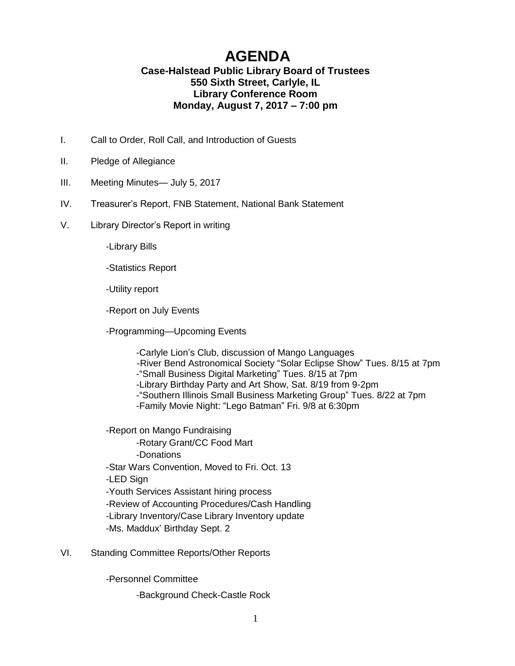## **AGENDA**

## **Case-Halstead Public Library Board of Trustees 550 Sixth Street, Carlyle, IL Library Conference Room Monday, August 7, 2017 – 7:00 pm**

- I. Call to Order, Roll Call, and Introduction of Guests
- II. Pledge of Allegiance
- III. Meeting Minutes— July 5, 2017
- IV. Treasurer's Report, FNB Statement, National Bank Statement
- V. Library Director's Report in writing

-Library Bills

-Statistics Report

-Utility report

-Report on July Events

-Programming—Upcoming Events

-Carlyle Lion's Club, discussion of Mango Languages -River Bend Astronomical Society "Solar Eclipse Show" Tues. 8/15 at 7pm -"Small Business Digital Marketing" Tues. 8/15 at 7pm -Library Birthday Party and Art Show, Sat. 8/19 from 9-2pm -"Southern Illinois Small Business Marketing Group" Tues. 8/22 at 7pm -Family Movie Night: "Lego Batman" Fri. 9/8 at 6:30pm

-Report on Mango Fundraising -Rotary Grant/CC Food Mart -Donations -Star Wars Convention, Moved to Fri. Oct. 13 -LED Sign -Youth Services Assistant hiring process -Review of Accounting Procedures/Cash Handling -Library Inventory/Case Library Inventory update -Ms. Maddux' Birthday Sept. 2

VI. Standing Committee Reports/Other Reports

-Personnel Committee

-Background Check-Castle Rock